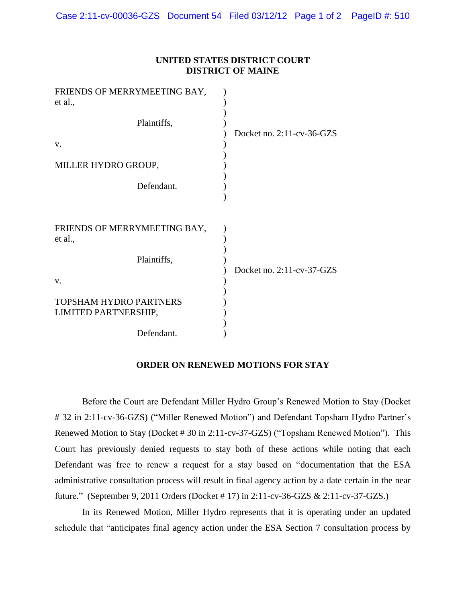| UNITED STATES DISTRICT COURT |
|------------------------------|
| <b>DISTRICT OF MAINE</b>     |

| FRIENDS OF MERRYMEETING BAY,<br>et al.,               |                              |
|-------------------------------------------------------|------------------------------|
| Plaintiffs,                                           | Docket no. $2:11$ -cv-36-GZS |
| V.                                                    |                              |
| MILLER HYDRO GROUP,                                   |                              |
| Defendant.                                            |                              |
|                                                       |                              |
| FRIENDS OF MERRYMEETING BAY,<br>et al.,               |                              |
| Plaintiffs,                                           | Docket no. 2:11-cv-37-GZS    |
| V.                                                    |                              |
| <b>TOPSHAM HYDRO PARTNERS</b><br>LIMITED PARTNERSHIP, |                              |
| Defendant.                                            |                              |

## **ORDER ON RENEWED MOTIONS FOR STAY**

Before the Court are Defendant Miller Hydro Group's Renewed Motion to Stay (Docket # 32 in 2:11-cv-36-GZS) ("Miller Renewed Motion") and Defendant Topsham Hydro Partner's Renewed Motion to Stay (Docket # 30 in 2:11-cv-37-GZS) ("Topsham Renewed Motion"). This Court has previously denied requests to stay both of these actions while noting that each Defendant was free to renew a request for a stay based on "documentation that the ESA administrative consultation process will result in final agency action by a date certain in the near future." (September 9, 2011 Orders (Docket # 17) in 2:11-cv-36-GZS & 2:11-cv-37-GZS.)

In its Renewed Motion, Miller Hydro represents that it is operating under an updated schedule that "anticipates final agency action under the ESA Section 7 consultation process by